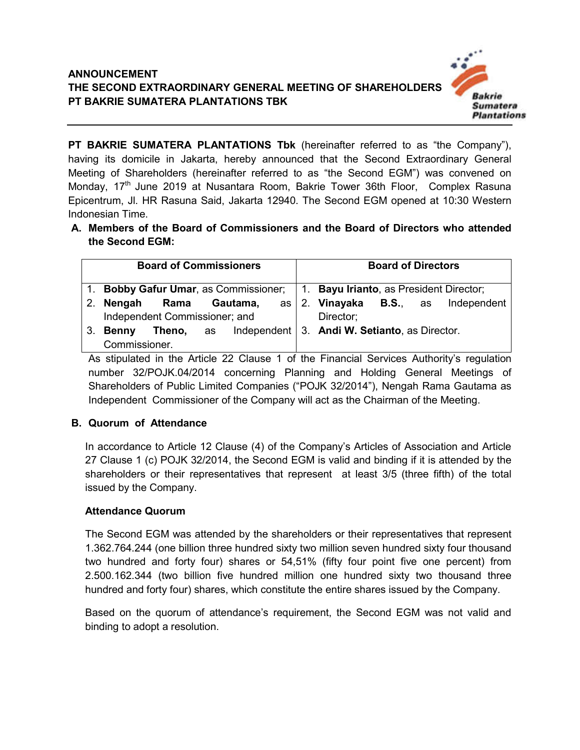

**PT BAKRIE SUMATERA PLANTATIONS Tbk** (hereinafter referred to as "the Company"), having its domicile in Jakarta, hereby announced that the Second Extraordinary General Meeting of Shareholders (hereinafter referred to as "the Second EGM") was convened on Monday, 17th June 2019 at Nusantara Room, Bakrie Tower 36th Floor, Complex Rasuna Epicentrum, Jl. HR Rasuna Said, Jakarta 12940. The Second EGM opened at 10:30 Western Indonesian Time.

**A. Members of the Board of Commissioners and the Board of Directors who attended the Second EGM:**

|             | <b>Board of Commissioners</b>                                                 |      |  |          |      |  | <b>Board of Directors</b>                                |  |  |             |  |
|-------------|-------------------------------------------------------------------------------|------|--|----------|------|--|----------------------------------------------------------|--|--|-------------|--|
|             | 1. Bobby Gafur Umar, as Commissioner; 1. Bayu Irianto, as President Director; |      |  |          |      |  |                                                          |  |  |             |  |
| $2_{\cdot}$ | Nengah                                                                        | Rama |  | Gautama, | as l |  | 2. Vinayaka B.S., as                                     |  |  | Independent |  |
|             | Independent Commissioner; and                                                 |      |  |          |      |  | Director;                                                |  |  |             |  |
| 3.          | Theno,<br><b>Benny</b>                                                        |      |  |          |      |  | as Independent $\vert$ 3. Andi W. Setianto, as Director. |  |  |             |  |
|             | Commissioner.                                                                 |      |  |          |      |  |                                                          |  |  |             |  |

As stipulated in the Article 22 Clause 1 of the Financial Services Authority's regulation number 32/POJK.04/2014 concerning Planning and Holding General Meetings of Shareholders of Public Limited Companies ("POJK 32/2014"), Nengah Rama Gautama as Independent Commissioner of the Company will act as the Chairman of the Meeting.

# **B. Quorum of Attendance**

In accordance to Article 12 Clause (4) of the Company's Articles of Association and Article 27 Clause 1 (c) POJK 32/2014, the Second EGM is valid and binding if it is attended by the shareholders or their representatives that represent at least 3/5 (three fifth) of the total issued by the Company.

### **Attendance Quorum**

The Second EGM was attended by the shareholders or their representatives that represent 1.362.764.244 (one billion three hundred sixty two million seven hundred sixty four thousand two hundred and forty four) shares or 54,51% (fifty four point five one percent) from 2.500.162.344 (two billion five hundred million one hundred sixty two thousand three hundred and forty four) shares, which constitute the entire shares issued by the Company.

Based on the quorum of attendance's requirement, the Second EGM was not valid and binding to adopt a resolution.